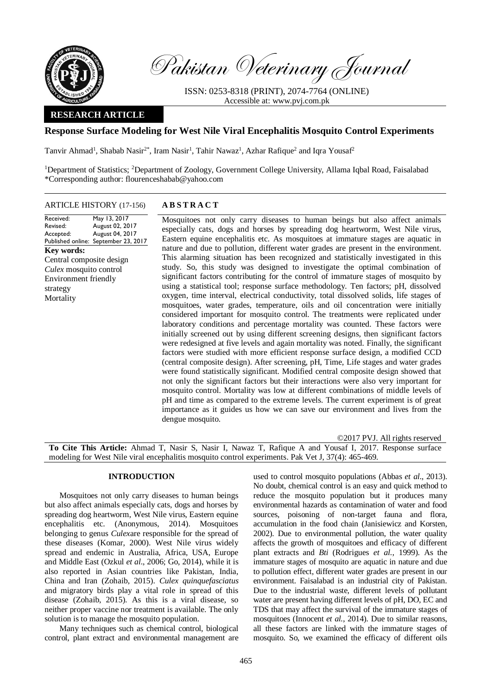

Pakistan Veterinary Journal

ISSN: 0253-8318 (PRINT), 2074-7764 (ONLINE) Accessible at: [www.pvj.com.pk](http://www.pvj.com.pk/)

# **RESEARCH ARTICLE**

# **Response Surface Modeling for West Nile Viral Encephalitis Mosquito Control Experiments**

Tanvir Ahmad<sup>1</sup>, Shabab Nasir<sup>2\*</sup>, Iram Nasir<sup>1</sup>, Tahir Nawaz<sup>1</sup>, Azhar Rafique<sup>2</sup> and Iqra Yousaf<sup>2</sup>

<sup>1</sup>Department of Statistics; <sup>2</sup>Department of Zoology, Government College University, Allama Iqbal Road, Faisalabad \*Corresponding author: flourenceshabab@yahoo.com

### ARTICLE HISTORY (17-156) **A B S T R A C T**

Received: Revised: Accepted: Published online: September 23, 2017 May 13, 2017 August 02, 2017 August 04, 2017 **Key words:**  Central composite design *Culex* mosquito control Environment friendly strategy Mortality

Mosquitoes not only carry diseases to human beings but also affect animals especially cats, dogs and horses by spreading dog heartworm, West Nile virus, Eastern equine encephalitis etc. As mosquitoes at immature stages are aquatic in nature and due to pollution, different water grades are present in the environment. This alarming situation has been recognized and statistically investigated in this study. So, this study was designed to investigate the optimal combination of significant factors contributing for the control of immature stages of mosquito by using a statistical tool; response surface methodology. Ten factors; pH, dissolved oxygen, time interval, electrical conductivity, total dissolved solids, life stages of mosquitoes, water grades, temperature, oils and oil concentration were initially considered important for mosquito control. The treatments were replicated under laboratory conditions and percentage mortality was counted. These factors were initially screened out by using different screening designs, then significant factors were redesigned at five levels and again mortality was noted. Finally, the significant factors were studied with more efficient response surface design, a modified CCD (central composite design). After screening, pH, Time, Life stages and water grades were found statistically significant. Modified central composite design showed that not only the significant factors but their interactions were also very important for mosquito control. Mortality was low at different combinations of middle levels of pH and time as compared to the extreme levels. The current experiment is of great importance as it guides us how we can save our environment and lives from the dengue mosquito.

©2017 PVJ. All rights reserved

**To Cite This Article:** Ahmad T, Nasir S, Nasir I, Nawaz T, Rafique A and Yousaf I, 2017. Response surface modeling for West Nile viral encephalitis mosquito control experiments. Pak Vet J, 37(4): 465-469.

# **INTRODUCTION**

Mosquitoes not only carry diseases to human beings but also affect animals especially cats, dogs and horses by spreading dog heartworm, West Nile virus, Eastern equine encephalitis etc. (Anonymous, 2014). Mosquitoes belonging to genus *Culex*are responsible for the spread of these diseases (Komar, 2000). West Nile virus widely spread and endemic in Australia, Africa, USA, Europe and Middle East (Ozkul *et al*., 2006; Go, 2014), while it is also reported in Asian countries like Pakistan, India, China and Iran (Zohaib, 2015). *Culex quinquefasciatus* and migratory birds play a vital role in spread of this disease (Zohaib, 2015). As this is a viral disease, so neither proper vaccine nor treatment is available. The only solution is to manage the mosquito population.

Many techniques such as chemical control, biological control, plant extract and environmental management are used to control mosquito populations (Abbas *et al*., 2013). No doubt, chemical control is an easy and quick method to reduce the mosquito population but it produces many environmental hazards as contamination of water and food sources, poisoning of non-target fauna and flora, accumulation in the food chain (Janisiewicz and Korsten, 2002). Due to environmental pollution, the water quality affects the growth of mosquitoes and efficacy of different plant extracts and *Bti* (Rodrigues *et al.*, 1999). As the immature stages of mosquito are aquatic in nature and due to pollution effect, different water grades are present in our environment. Faisalabad is an industrial city of Pakistan. Due to the industrial waste, different levels of pollutant water are present having different levels of pH, DO, EC and TDS that may affect the survival of the immature stages of mosquitoes (Innocent *et al.*, 2014). Due to similar reasons, all these factors are linked with the immature stages of mosquito. So, we examined the efficacy of different oils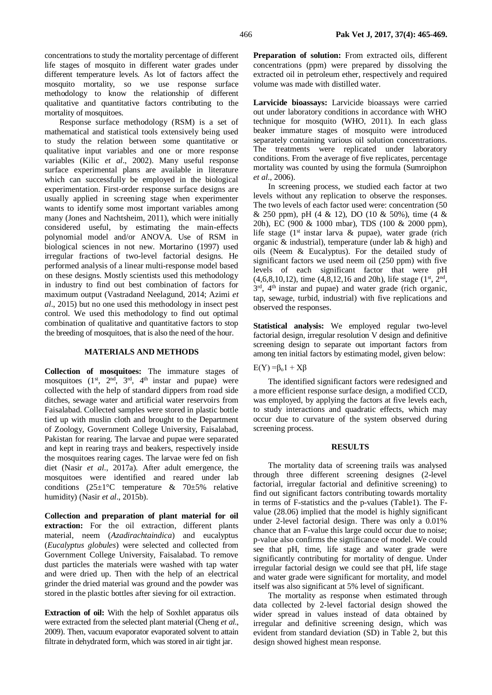concentrations to study the mortality percentage of different life stages of mosquito in different water grades under different temperature levels. As lot of factors affect the mosquito mortality, so we use response surface methodology to know the relationship of different qualitative and quantitative factors contributing to the mortality of mosquitoes.

Response surface methodology (RSM) is a set of mathematical and statistical tools extensively being used to study the relation between some quantitative or qualitative input variables and one or more response variables (Kilic *et al*., 2002). Many useful response surface experimental plans are available in literature which can successfully be employed in the biological experimentation. First-order response surface designs are usually applied in screening stage when experimenter wants to identify some most important variables among many (Jones and Nachtsheim, 2011), which were initially considered useful, by estimating the main-effects polynomial model and/or ANOVA. Use of RSM in biological sciences in not new. Mortarino (1997) used irregular fractions of two-level factorial designs. He performed analysis of a linear multi-response model based on these designs. Mostly scientists used this methodology in industry to find out best combination of factors for maximum output (Vastradand Neelagund, 2014; Azimi *et al*., 2015) but no one used this methodology in insect pest control. We used this methodology to find out optimal combination of qualitative and quantitative factors to stop the breeding of mosquitoes, that is also the need of the hour.

# **MATERIALS AND METHODS**

**Collection of mosquitoes:** The immature stages of mosquitoes  $(1^{st}, 2^{nd}, 3^{rd}, 4^{th} \text{ instar and pupae})$  were collected with the help of standard dippers from road side ditches, sewage water and artificial water reservoirs from Faisalabad. Collected samples were stored in plastic bottle tied up with muslin cloth and brought to the Department of Zoology, Government College University, Faisalabad, Pakistan for rearing. The larvae and pupae were separated and kept in rearing trays and beakers, respectively inside the mosquitoes rearing cages. The larvae were fed on fish diet (Nasir *et al*., 2017a). After adult emergence, the mosquitoes were identified and reared under lab conditions (25±1°C temperature & 70±5% relative humidity) (Nasir *et al*., 2015b).

**Collection and preparation of plant material for oil extraction:** For the oil extraction, different plants material, neem (*Azadirachtaindica*) and eucalyptus (*Eucalyptus globules*) were selected and collected from Government College University, Faisalabad. To remove dust particles the materials were washed with tap water and were dried up. Then with the help of an electrical grinder the dried material was ground and the powder was stored in the plastic bottles after sieving for oil extraction.

**Extraction of oil:** With the help of Soxhlet apparatus oils were extracted from the selected plant material (Cheng *et al*., 2009). Then, vacuum evaporator evaporated solvent to attain filtrate in dehydrated form, which was stored in air tight jar.

**Preparation of solution:** From extracted oils, different concentrations (ppm) were prepared by dissolving the extracted oil in petroleum ether, respectively and required volume was made with distilled water.

**Larvicide bioassays:** Larvicide bioassays were carried out under laboratory conditions in accordance with WHO technique for mosquito (WHO, 2011). In each glass beaker immature stages of mosquito were introduced separately containing various oil solution concentrations. The treatments were replicated under laboratory conditions. From the average of five replicates, percentage mortality was counted by using the formula (Sumroiphon *et al*., 2006).

In screening process, we studied each factor at two levels without any replication to observe the responses. The two levels of each factor used were: concentration (50 & 250 ppm), pH (4 & 12), DO (10 & 50%), time (4 & 20h), EC (900 & 1000 mbar), TDS (100 & 2000 ppm), life stage ( $1<sup>st</sup>$  instar larva & pupae), water grade (rich organic & industrial), temperature (under lab & high) and oils (Neem & Eucalyptus). For the detailed study of significant factors we used neem oil (250 ppm) with five levels of each significant factor that were pH  $(4,6,8,10,12)$ , time  $(4,8,12,16$  and 20h), life stage  $(1<sup>st</sup>, 2<sup>nd</sup>,$ 3<sup>rd</sup>, 4<sup>th</sup> instar and pupae) and water grade (rich organic, tap, sewage, turbid, industrial) with five replications and observed the responses.

**Statistical analysis:** We employed regular two-level factorial design, irregular resolution V design and definitive screening design to separate out important factors from among ten initial factors by estimating model, given below:

 $E(Y) = \beta_0 1 + X\beta$ 

The identified significant factors were redesigned and a more efficient response surface design, a modified CCD, was employed, by applying the factors at five levels each, to study interactions and quadratic effects, which may occur due to curvature of the system observed during screening process.

# **RESULTS**

The mortality data of screening trails was analysed through three different screening designes (2-level factorial, irregular factorial and definitive screening) to find out significant factors contributing towards mortality in terms of F-statistics and the p-values (Table1). The Fvalue (28.06) implied that the model is highly significant under 2-level factorial design. There was only a 0.01% chance that an F-value this large could occur due to noise; p-value also confirms the significance of model. We could see that pH, time, life stage and water grade were significantly contributing for mortality of dengue. Under irregular factorial design we could see that pH, life stage and water grade were significant for mortality, and model itself was also significant at 5% level of significant.

The mortality as response when estimated through data collected by 2-level factorial design showed the wider spread in values instead of data obtained by irregular and definitive screening design, which was evident from standard deviation (SD) in Table 2, but this design showed highest mean response.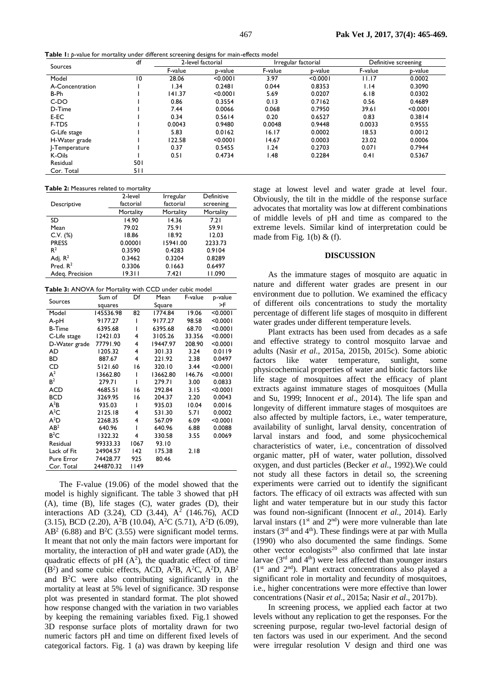**Table 1:** *p*-value for mortality under different screening designs for main-effects model

| Sources         | df  | 2-level factorial |          | Irregular factorial |          | Definitive screening |          |
|-----------------|-----|-------------------|----------|---------------------|----------|----------------------|----------|
|                 |     | F-value           | p-value  | F-value             | p-value  | F-value              | p-value  |
| Model           | 10  | 28.06             | < 0.0001 | 3.97                | < 0.0001 | 11.17                | 0.0002   |
| A-Concentration |     | 34. ا             | 0.2481   | 0.044               | 0.8353   | 1.14                 | 0.3090   |
| B-Ph            |     | 141.37            | < 0.0001 | 5.69                | 0.0207   | 6.18                 | 0.0302   |
| C-DO            |     | 0.86              | 0.3554   | 0.13                | 0.7162   | 0.56                 | 0.4689   |
| D-Time          |     | 7.44              | 0.0066   | 0.068               | 0.7950   | 39.61                | < 0.0001 |
| E-EC            |     | 0.34              | 0.5614   | 0.20                | 0.6527   | 0.83                 | 0.3814   |
| F-TDS           |     | 0.0043            | 0.9480   | 0.0048              | 0.9448   | 0.0033               | 0.9555   |
| G-Life stage    |     | 5.83              | 0.0162   | 16.17               | 0.0002   | 18.53                | 0.0012   |
| H-Water grade   |     | 122.58            | < 0.0001 | 14.67               | 0.0003   | 23.02                | 0.0006   |
| -Temperature    |     | 0.37              | 0.5455   | 1.24                | 0.2703   | 0.071                | 0.7944   |
| K-Oils          |     | 0.51              | 0.4734   | l.48                | 0.2284   | 0.41                 | 0.5367   |
| Residual        | 501 |                   |          |                     |          |                      |          |
| Cor. Total      | 511 |                   |          |                     |          |                      |          |

#### **Table 2:** Measures related to mortality

|                 | 2-level   | Irregular | Definitive |
|-----------------|-----------|-----------|------------|
| Descriptive     | factorial | factorial | screening  |
|                 | Mortality | Mortality | Mortality  |
| SD.             | 14.90     | 14.36     | 7.21       |
| Mean            | 79.02     | 75.91     | 59.91      |
| $C.V.$ $(\%)$   | 18.86     | 18.92     | 12.03      |
| <b>PRESS</b>    | 0.00001   | 15941.00  | 2233.73    |
| R <sup>2</sup>  | 0.3590    | 0.4283    | 0.9104     |
| Adj. $R^2$      | 0.3462    | 0.3204    | 0.8289     |
| Pred. $R^2$     | 0.3306    | 0.1663    | 0.6497     |
| Adeg. Precision | 19.311    | 7.421     | 11.090     |

**Table 3:** ANOVA for Mortality with CCD under cubic model

| Sources         | Sum of    | Df     | Mean     | F-value | p-value  |
|-----------------|-----------|--------|----------|---------|----------|
|                 | squares   | Square |          |         | >F       |
| Model           | 145536.98 | 82     | 1774.84  | 19.06   | < 0.0001 |
| A-pH            | 9177.27   | ı      | 9177.27  | 98.58   | < 0.0001 |
| <b>B-Time</b>   | 6395.68   |        | 6395.68  | 68.70   | < 0.0001 |
| C-Life stage    | 12421.03  | 4      | 3105.26  | 33.356  | < 0.0001 |
| D-Water grade   | 77791.90  | 4      | 19447.97 | 208.90  | < 0.0001 |
| AD              | 1205.32   | 4      | 301.33   | 3.24    | 0.0119   |
| ВD              | 887.67    | 4      | 221.92   | 2.38    | 0.0497   |
| CD              | 5121.60   | 16     | 320.10   | 3.44    | < 0.0001 |
| $A^2$           | 13662.80  |        | 13662.80 | 146.76  | < 0.0001 |
| B <sup>2</sup>  | 279.71    |        | 279.71   | 3.00    | 0.0833   |
| <b>ACD</b>      | 4685.51   | 16     | 292.84   | 3.15    | < 0.0001 |
| <b>BCD</b>      | 3269.95   | 16     | 204.37   | 2.20    | 0.0043   |
| $A^2B$          | 935.03    | ı      | 935.03   | 10.04   | 0.0016   |
| $A^2C$          | 2125.18   | 4      | 531.30   | 5.71    | 0.0002   |
| $A^2D$          | 2268.35   | 4      | 567.09   | 6.09    | < 0.0001 |
| AB <sup>2</sup> | 640.96    |        | 640.96   | 6.88    | 0.0088   |
| $B^2C$          | 1322.32   | 4      | 330.58   | 3.55    | 0.0069   |
| Residual        | 99333.33  | 1067   | 93.10    |         |          |
| Lack of Fit     | 24904.57  | 142    | 175.38   | 2.18    |          |
| Pure Error      | 74428.77  | 925    | 80.46    |         |          |
| Cor. Total      | 244870.32 | 1149   |          |         |          |

The F-value (19.06) of the model showed that the model is highly significant. The table 3 showed that pH (A), time (B), life stages (C), water grades (D), their interactions AD (3.24), CD (3.44),  $A^2$  (146.76), ACD  $(3.15)$ , BCD  $(2.20)$ , A<sup>2</sup>B  $(10.04)$ , A<sup>2</sup>C  $(5.71)$ , A<sup>2</sup>D  $(6.09)$ ,  $AB<sup>2</sup>$  (6.88) and  $B<sup>2</sup>C$  (3.55) were significant model terms. It meant that not only the main factors were important for mortality, the interaction of pH and water grade (AD), the quadratic effects of pH  $(A^2)$ , the quadratic effect of time  $(B<sup>2</sup>)$  and some cubic effects, ACD, A<sup>2</sup>B, A<sup>2</sup>C, A<sup>2</sup>D, AB<sup>2</sup> and  $B^2C$  were also contributing significantly in the mortality at least at 5% level of significance. 3D response plot was presented in standard format. The plot showed how response changed with the variation in two variables by keeping the remaining variables fixed. Fig.1 showed 3D response surface plots of mortality drawn for two numeric factors pH and time on different fixed levels of categorical factors. Fig. 1 (a) was drawn by keeping life

stage at lowest level and water grade at level four. Obviously, the tilt in the middle of the response surface advocates that mortality was low at different combinations of middle levels of pH and time as compared to the extreme levels. Similar kind of interpretation could be made from Fig. 1(b)  $\&$  (f).

### **DISCUSSION**

As the immature stages of mosquito are aquatic in nature and different water grades are present in our environment due to pollution. We examined the efficacy of different oils concentrations to study the mortality percentage of different life stages of mosquito in different water grades under different temperature levels.

Plant extracts has been used from decades as a safe and effective strategy to control mosquito larvae and adults (Nasir *et al*., 2015a, 2015b, 2015c). Some abiotic factors like water temperature, sunlight, some physicochemical properties of water and biotic factors like life stage of mosquitoes affect the efficacy of plant extracts against immature stages of mosquitoes (Mulla and Su, 1999; Innocent *et al*., 2014). The life span and longevity of different immature stages of mosquitoes are also affected by multiple factors, i.e., water temperature, availability of sunlight, larval density, concentration of larval instars and food, and some physicochemical characteristics of water, i.e., concentration of dissolved organic matter, pH of water, water pollution, dissolved oxygen, and dust particles (Becker *et al*., 1992).We could not study all these factors in detail so, the screening experiments were carried out to identify the significant factors. The efficacy of oil extracts was affected with sun light and water temperature but in our study this factor was found non-significant (Innocent *et al*., 2014). Early larval instars ( $1<sup>st</sup>$  and  $2<sup>nd</sup>$ ) were more vulnerable than late instars ( $3<sup>rd</sup>$  and  $4<sup>th</sup>$ ). These findings were at par with Mulla (1990) who also documented the same findings. Some other vector ecologists<sup>20</sup> also confirmed that late instar larvae  $(3<sup>rd</sup>$  and  $4<sup>th</sup>)$  were less affected than younger instars  $(1<sup>st</sup>$  and  $2<sup>nd</sup>)$ . Plant extract concentrations also played a significant role in mortality and fecundity of mosquitoes, i.e., higher concentrations were more effective than lower concentrations (Nasir *et al*., 2015a; Nasir *et al*., 2017b).

In screening process, we applied each factor at two levels without any replication to get the responses. For the screening purpose, regular two-level factorial design of ten factors was used in our experiment. And the second were irregular resolution V design and third one was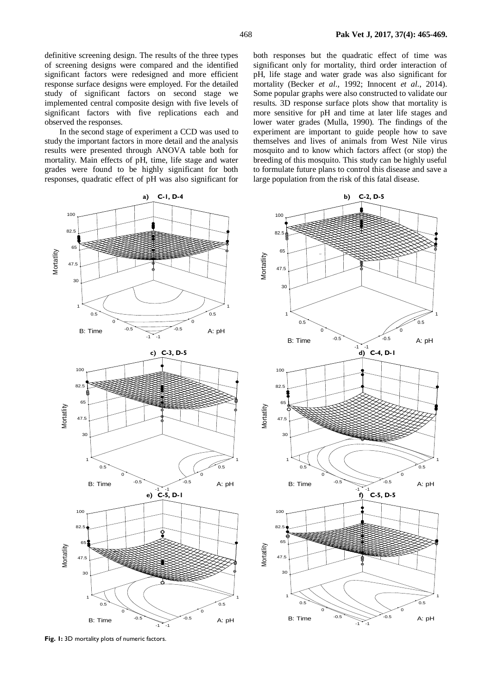definitive screening design. The results of the three types of screening designs were compared and the identified significant factors were redesigned and more efficient response surface designs were employed. For the detailed study of significant factors on second stage we implemented central composite design with five levels of significant factors with five replications each and observed the responses.

In the second stage of experiment a CCD was used to study the important factors in more detail and the analysis results were presented through ANOVA table both for mortality. Main effects of pH, time, life stage and water grades were found to be highly significant for both responses, quadratic effect of pH was also significant for

both responses but the quadratic effect of time was significant only for mortality, third order interaction of pH, life stage and water grade was also significant for mortality (Becker *et al*., 1992; Innocent *et al*., 2014). Some popular graphs were also constructed to validate our results. 3D response surface plots show that mortality is more sensitive for pH and time at later life stages and lower water grades (Mulla, 1990). The findings of the experiment are important to guide people how to save themselves and lives of animals from West Nile virus mosquito and to know which factors affect (or stop) the breeding of this mosquito. This study can be highly useful to formulate future plans to control this disease and save a large population from the risk of this fatal disease.



**Fig. 1:** 3D mortality plots of numeric factors.